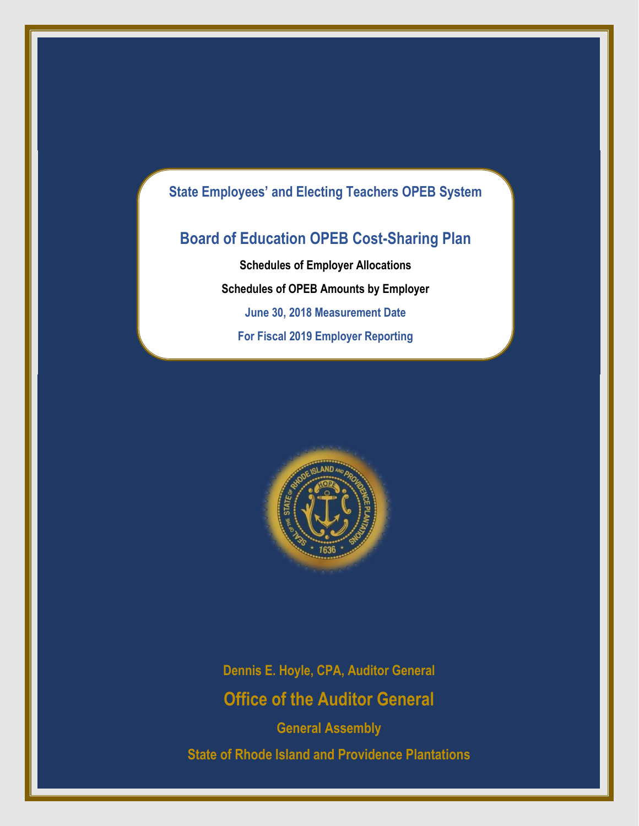# **State Employees' and Electing Teachers OPEB System**

# **Board of Education OPEB Cost-Sharing Plan**

**Schedules of Employer Allocations Schedules of OPEB Amounts by Employer June 30, 2018 Measurement Date For Fiscal 2019 Employer Reporting**



**Dennis E. Hoyle, CPA, Auditor General Office of the Auditor General**

**General Assembly State of Rhode Island and Providence Plantations**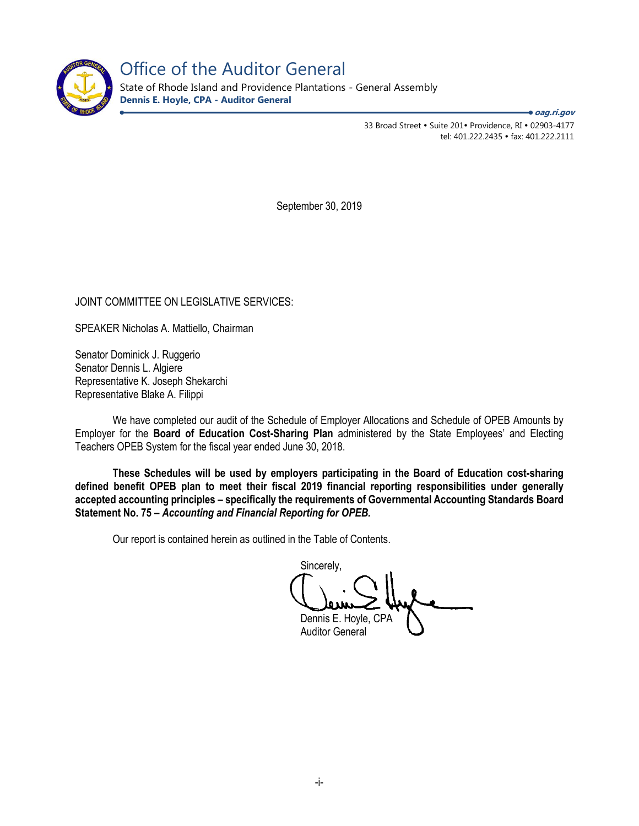

Office of the Auditor General

State of Rhode Island and Providence Plantations - General Assembly **Dennis E. Hoyle, CPA - Auditor General**

**oag.ri.gov**

33 Broad Street • Suite 201• Providence, RI • 02903-4177 tel: 401.222.2435 fax: 401.222.2111

September 30, 2019

JOINT COMMITTEE ON LEGISLATIVE SERVICES:

SPEAKER Nicholas A. Mattiello, Chairman

Senator Dominick J. Ruggerio Senator Dennis L. Algiere Representative K. Joseph Shekarchi Representative Blake A. Filippi

We have completed our audit of the Schedule of Employer Allocations and Schedule of OPEB Amounts by Employer for the **Board of Education Cost-Sharing Plan** administered by the State Employees' and Electing Teachers OPEB System for the fiscal year ended June 30, 2018.

**These Schedules will be used by employers participating in the Board of Education cost-sharing defined benefit OPEB plan to meet their fiscal 2019 financial reporting responsibilities under generally accepted accounting principles – specifically the requirements of Governmental Accounting Standards Board Statement No. 75 –** *Accounting and Financial Reporting for OPEB.* 

Our report is contained herein as outlined in the Table of Contents.

Sincerely, Dennis E. Hoyle, CPA

Auditor General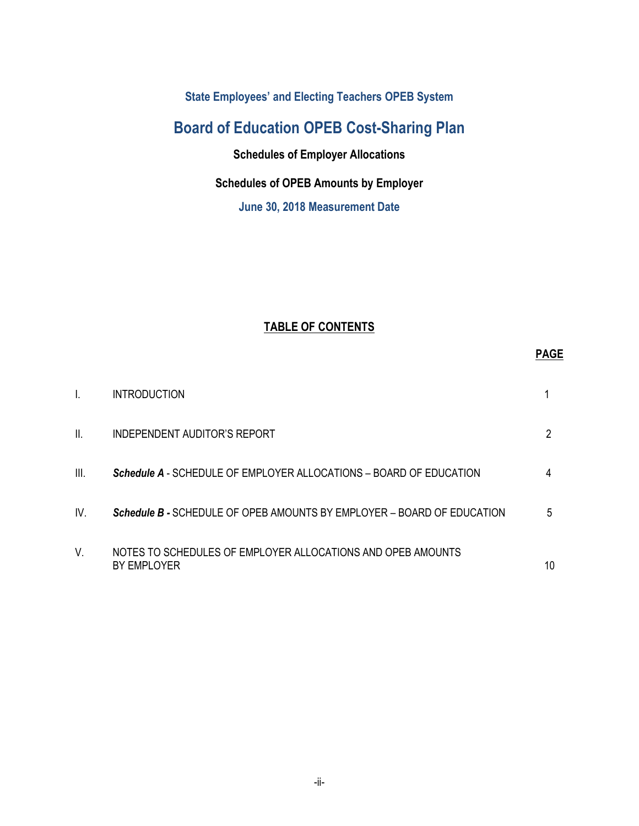**State Employees' and Electing Teachers OPEB System** 

# **Board of Education OPEB Cost-Sharing Plan**

**Schedules of Employer Allocations**

# **Schedules of OPEB Amounts by Employer**

**June 30, 2018 Measurement Date** 

# **TABLE OF CONTENTS**

|      | <b>INTRODUCTION</b>                                                        |    |
|------|----------------------------------------------------------------------------|----|
| Ш.   | INDEPENDENT AUDITOR'S REPORT                                               | 2  |
| III. | <b>Schedule A</b> - SCHEDULE OF EMPLOYER ALLOCATIONS – BOARD OF EDUCATION  | 4  |
| IV.  | Schedule B - SCHEDULE OF OPEB AMOUNTS BY EMPLOYER - BOARD OF EDUCATION     | 5  |
| V.   | NOTES TO SCHEDULES OF EMPLOYER ALLOCATIONS AND OPEB AMOUNTS<br>BY EMPLOYER | 10 |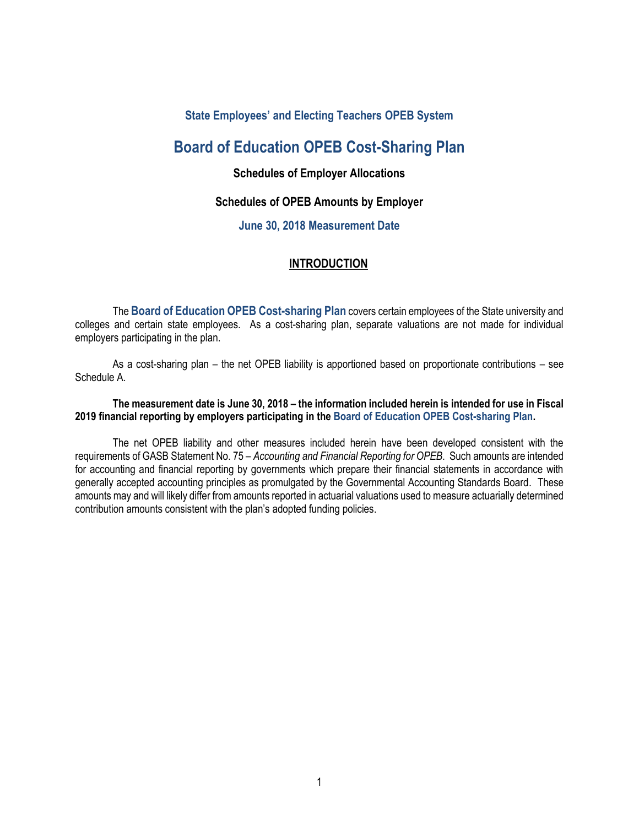## **State Employees' and Electing Teachers OPEB System**

# **Board of Education OPEB Cost-Sharing Plan**

## **Schedules of Employer Allocations**

### **Schedules of OPEB Amounts by Employer**

### **June 30, 2018 Measurement Date**

### **INTRODUCTION**

The **Board of Education OPEB Cost-sharing Plan** covers certain employees of the State university and colleges and certain state employees. As a cost-sharing plan, separate valuations are not made for individual employers participating in the plan.

As a cost-sharing plan – the net OPEB liability is apportioned based on proportionate contributions – see Schedule A.

### **The measurement date is June 30, 2018 – the information included herein is intended for use in Fiscal 2019 financial reporting by employers participating in the Board of Education OPEB Cost-sharing Plan.**

The net OPEB liability and other measures included herein have been developed consistent with the requirements of GASB Statement No. 75 – *Accounting and Financial Reporting for OPEB*. Such amounts are intended for accounting and financial reporting by governments which prepare their financial statements in accordance with generally accepted accounting principles as promulgated by the Governmental Accounting Standards Board. These amounts may and will likely differ from amounts reported in actuarial valuations used to measure actuarially determined contribution amounts consistent with the plan's adopted funding policies.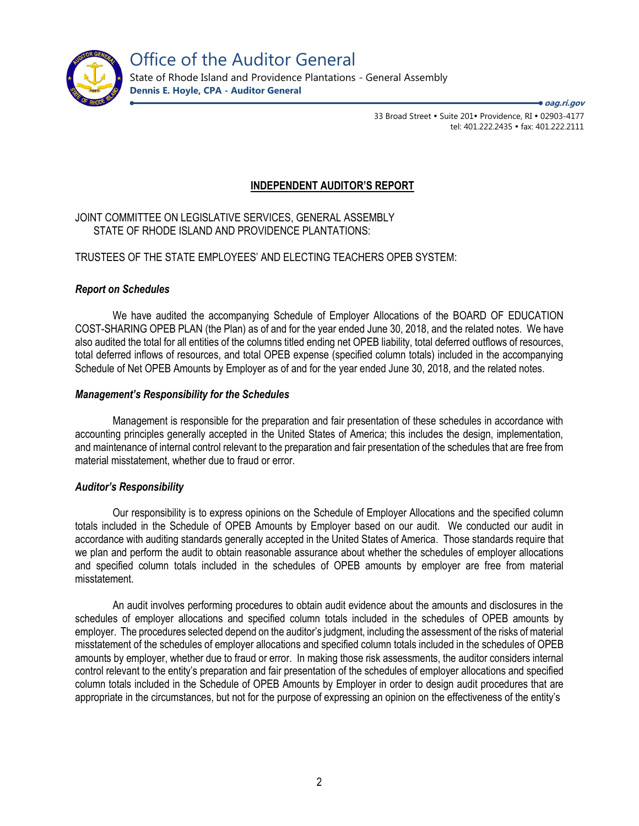

State of Rhode Island and Providence Plantations - General Assembly **Dennis E. Hoyle, CPA - Auditor General**

**oag.ri.gov**

33 Broad Street • Suite 201• Providence, RI • 02903-4177 tel: 401.222.2435 · fax: 401.222.2111

## **INDEPENDENT AUDITOR'S REPORT**

### JOINT COMMITTEE ON LEGISLATIVE SERVICES, GENERAL ASSEMBLY STATE OF RHODE ISLAND AND PROVIDENCE PLANTATIONS:

### TRUSTEES OF THE STATE EMPLOYEES' AND ELECTING TEACHERS OPEB SYSTEM:

### *Report on Schedules*

We have audited the accompanying Schedule of Employer Allocations of the BOARD OF EDUCATION COST-SHARING OPEB PLAN (the Plan) as of and for the year ended June 30, 2018, and the related notes. We have also audited the total for all entities of the columns titled ending net OPEB liability, total deferred outflows of resources, total deferred inflows of resources, and total OPEB expense (specified column totals) included in the accompanying Schedule of Net OPEB Amounts by Employer as of and for the year ended June 30, 2018, and the related notes.

### *Management's Responsibility for the Schedules*

Management is responsible for the preparation and fair presentation of these schedules in accordance with accounting principles generally accepted in the United States of America; this includes the design, implementation, and maintenance of internal control relevant to the preparation and fair presentation of the schedules that are free from material misstatement, whether due to fraud or error.

### *Auditor's Responsibility*

Our responsibility is to express opinions on the Schedule of Employer Allocations and the specified column totals included in the Schedule of OPEB Amounts by Employer based on our audit. We conducted our audit in accordance with auditing standards generally accepted in the United States of America. Those standards require that we plan and perform the audit to obtain reasonable assurance about whether the schedules of employer allocations and specified column totals included in the schedules of OPEB amounts by employer are free from material misstatement.

An audit involves performing procedures to obtain audit evidence about the amounts and disclosures in the schedules of employer allocations and specified column totals included in the schedules of OPEB amounts by employer. The procedures selected depend on the auditor's judgment, including the assessment of the risks of material misstatement of the schedules of employer allocations and specified column totals included in the schedules of OPEB amounts by employer, whether due to fraud or error. In making those risk assessments, the auditor considers internal control relevant to the entity's preparation and fair presentation of the schedules of employer allocations and specified column totals included in the Schedule of OPEB Amounts by Employer in order to design audit procedures that are appropriate in the circumstances, but not for the purpose of expressing an opinion on the effectiveness of the entity's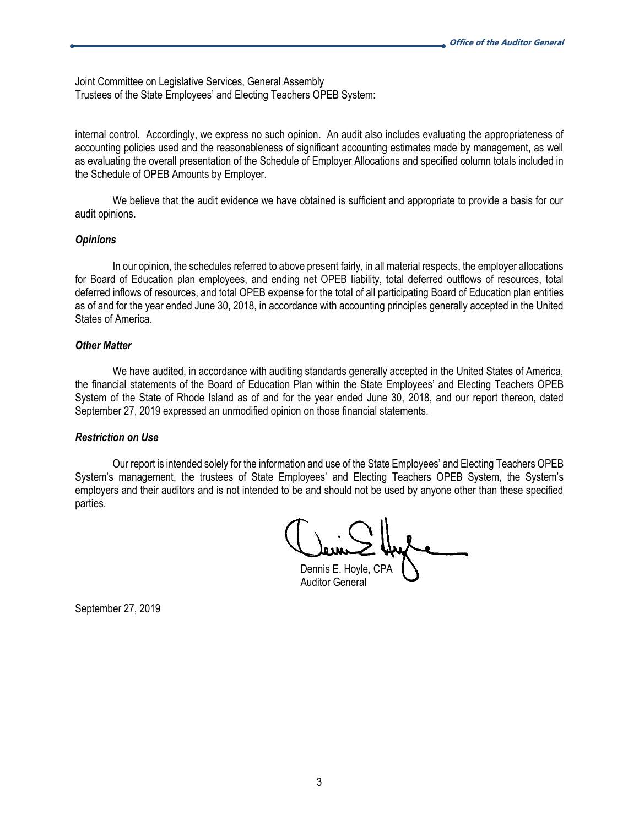Joint Committee on Legislative Services, General Assembly Trustees of the State Employees' and Electing Teachers OPEB System:

internal control. Accordingly, we express no such opinion. An audit also includes evaluating the appropriateness of accounting policies used and the reasonableness of significant accounting estimates made by management, as well as evaluating the overall presentation of the Schedule of Employer Allocations and specified column totals included in the Schedule of OPEB Amounts by Employer.

We believe that the audit evidence we have obtained is sufficient and appropriate to provide a basis for our audit opinions.

#### *Opinions*

In our opinion, the schedules referred to above present fairly, in all material respects, the employer allocations for Board of Education plan employees, and ending net OPEB liability, total deferred outflows of resources, total deferred inflows of resources, and total OPEB expense for the total of all participating Board of Education plan entities as of and for the year ended June 30, 2018, in accordance with accounting principles generally accepted in the United States of America.

#### *Other Matter*

We have audited, in accordance with auditing standards generally accepted in the United States of America, the financial statements of the Board of Education Plan within the State Employees' and Electing Teachers OPEB System of the State of Rhode Island as of and for the year ended June 30, 2018, and our report thereon, dated September 27, 2019 expressed an unmodified opinion on those financial statements.

### *Restriction on Use*

Our report is intended solely for the information and use of the State Employees' and Electing Teachers OPEB System's management, the trustees of State Employees' and Electing Teachers OPEB System, the System's employers and their auditors and is not intended to be and should not be used by anyone other than these specified parties.

Dennis E. Hoyle, CPA

Auditor General

September 27, 2019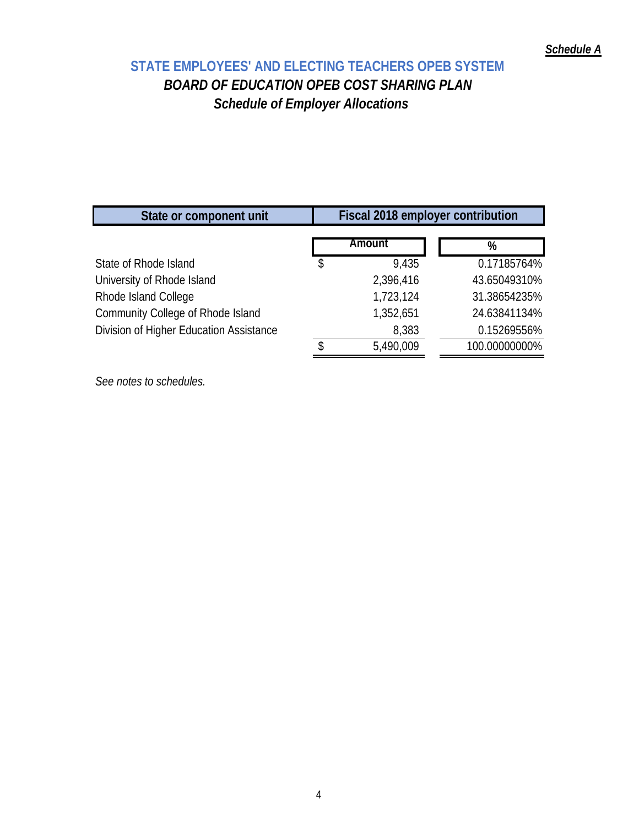# **STATE EMPLOYEES' AND ELECTING TEACHERS OPEB SYSTEM**  *BOARD OF EDUCATION OPEB COST SHARING PLAN Schedule of Employer Allocations*

| Amount      | %                                 |
|-------------|-----------------------------------|
| \$<br>9.435 | 0.17185764%                       |
| 2,396,416   | 43.65049310%                      |
| 1,723,124   | 31.38654235%                      |
| 1,352,651   | 24.63841134%                      |
| 8,383       | 0.15269556%                       |
| 5,490,009   | 100.00000000%                     |
|             | Fiscal 2018 employer contribution |

*See notes to schedules.*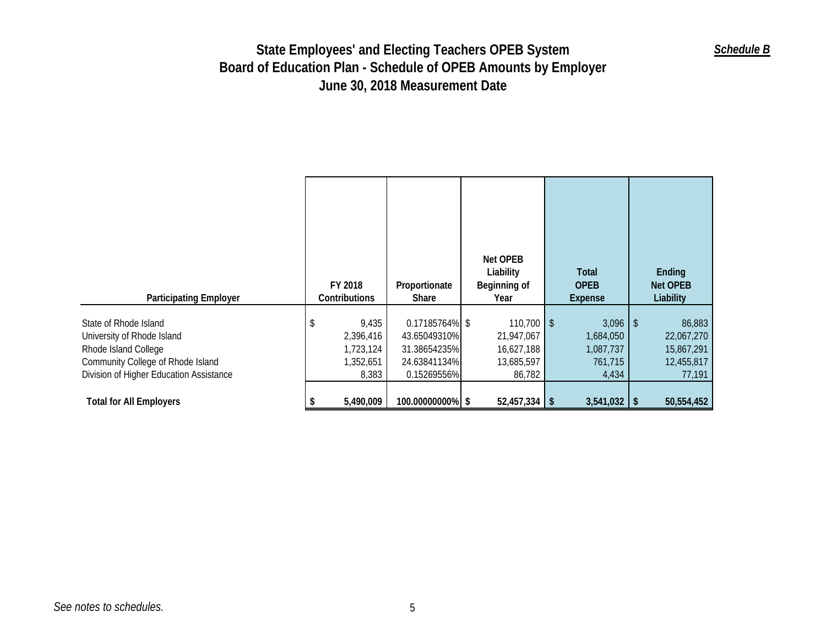| <b>Participating Employer</b>                                                                                                                               | FY 2018<br>Contributions                              | Proportionate<br><b>Share</b>                                                 | Net OPEB<br>Liability<br>Beginning of<br>Year                    | Total<br><b>OPEB</b><br>Expense                          | Ending<br>Net OPEB<br>Liability                            |
|-------------------------------------------------------------------------------------------------------------------------------------------------------------|-------------------------------------------------------|-------------------------------------------------------------------------------|------------------------------------------------------------------|----------------------------------------------------------|------------------------------------------------------------|
| State of Rhode Island<br>University of Rhode Island<br>Rhode Island College<br>Community College of Rhode Island<br>Division of Higher Education Assistance | 9,435<br>2,396,416<br>1,723,124<br>1,352,651<br>8,383 | 0.17185764% \$<br>43.65049310%<br>31.38654235%<br>24.63841134%<br>0.15269556% | $110,700$ \$<br>21,947,067<br>16,627,188<br>13,685,597<br>86,782 | $3,096$ \$<br>1,684,050<br>1,087,737<br>761,715<br>4,434 | 86,883<br>22,067,270<br>15,867,291<br>12,455,817<br>77,191 |
| <b>Total for All Employers</b>                                                                                                                              | 5,490,009                                             | 100.00000000% \$                                                              | $52,457,334$ \ \ \$                                              | $3,541,032$ \$                                           | 50,554,452                                                 |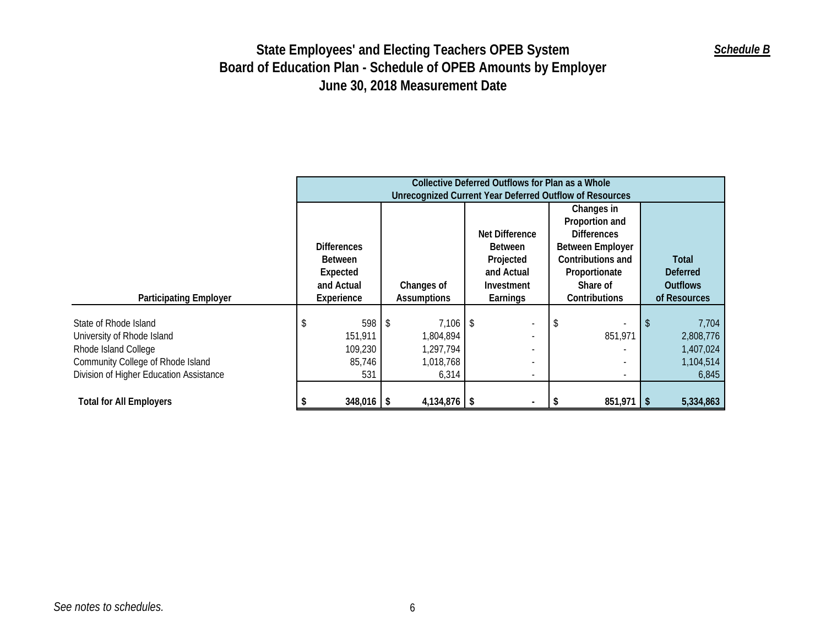|                                                                                                                                                             | Collective Deferred Outflows for Plan as a Whole<br>Unrecognized Current Year Deferred Outflow of Resources |                                                  |                                                                                                            |  |                                                                      |                           |                                     |                                 |                                                       |
|-------------------------------------------------------------------------------------------------------------------------------------------------------------|-------------------------------------------------------------------------------------------------------------|--------------------------------------------------|------------------------------------------------------------------------------------------------------------|--|----------------------------------------------------------------------|---------------------------|-------------------------------------|---------------------------------|-------------------------------------------------------|
|                                                                                                                                                             |                                                                                                             |                                                  |                                                                                                            |  | Changes in<br>Proportion and<br>Net Difference<br><b>Differences</b> |                           |                                     |                                 |                                                       |
|                                                                                                                                                             |                                                                                                             | <b>Differences</b><br><b>Between</b><br>Expected | <b>Between Employer</b><br><b>Between</b><br>Contributions and<br>Projected<br>and Actual<br>Proportionate |  |                                                                      | Total<br><b>Deferred</b>  |                                     |                                 |                                                       |
| <b>Participating Employer</b>                                                                                                                               |                                                                                                             | and Actual<br>Experience                         | Changes of<br><b>Assumptions</b>                                                                           |  | Investment<br>Earnings                                               | Share of<br>Contributions |                                     | <b>Outflows</b><br>of Resources |                                                       |
| State of Rhode Island<br>University of Rhode Island<br>Rhode Island College<br>Community College of Rhode Island<br>Division of Higher Education Assistance | \$                                                                                                          | 598<br>151,911<br>109,230<br>85,746<br>531       | $7,106$ \$<br>-\$<br>1,804,894<br>1,297,794<br>1,018,768<br>6,314                                          |  |                                                                      |                           | 851,971<br>$\overline{\phantom{a}}$ |                                 | 7,704<br>2,808,776<br>1,407,024<br>1,104,514<br>6,845 |
| <b>Total for All Employers</b>                                                                                                                              |                                                                                                             | $348,016$ \$                                     | $4,134,876$ \$                                                                                             |  |                                                                      |                           | $851,971$   \$                      |                                 | 5,334,863                                             |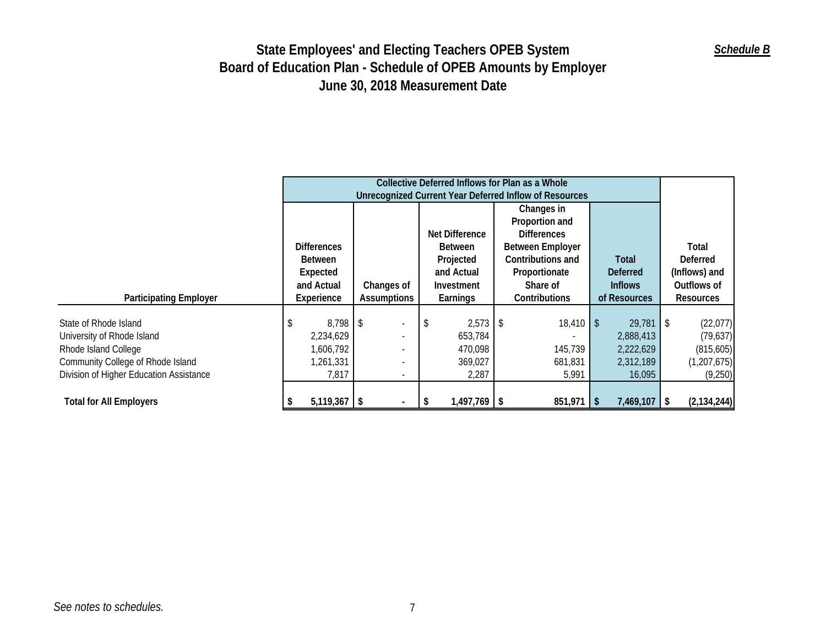|                                         | Collective Deferred Inflows for Plan as a Whole<br>Unrecognized Current Year Deferred Inflow of Resources |                    |                          |                          |            |                |         |                         |               |                      |                 |                 |             |                  |  |            |
|-----------------------------------------|-----------------------------------------------------------------------------------------------------------|--------------------|--------------------------|--------------------------|------------|----------------|---------|-------------------------|---------------|----------------------|-----------------|-----------------|-------------|------------------|--|------------|
|                                         |                                                                                                           |                    |                          |                          |            |                |         | Changes in              |               |                      |                 |                 |             |                  |  |            |
|                                         |                                                                                                           |                    |                          |                          |            |                |         | Proportion and          |               |                      |                 |                 |             |                  |  |            |
|                                         |                                                                                                           |                    |                          |                          |            | Net Difference |         | <b>Differences</b>      |               |                      |                 |                 |             |                  |  |            |
|                                         |                                                                                                           | <b>Differences</b> |                          |                          |            | <b>Between</b> |         | <b>Between Employer</b> |               |                      |                 | Total           |             |                  |  |            |
|                                         |                                                                                                           | <b>Between</b>     |                          |                          |            | Projected      |         | Contributions and       |               | Total                |                 | <b>Deferred</b> |             |                  |  |            |
|                                         |                                                                                                           | Expected           |                          |                          | and Actual |                |         |                         | Proportionate |                      | <b>Deferred</b> |                 |             | (Inflows) and    |  |            |
|                                         | and Actual                                                                                                |                    | Changes of               |                          | Investment |                |         |                         | Share of      |                      | <b>Inflows</b>  |                 | Outflows of |                  |  |            |
| <b>Participating Employer</b>           |                                                                                                           | Experience         | Assumptions              |                          |            |                |         | Earnings                |               | <b>Contributions</b> |                 | of Resources    |             | <b>Resources</b> |  |            |
|                                         |                                                                                                           |                    |                          |                          |            |                |         |                         |               |                      |                 |                 |             |                  |  |            |
| State of Rhode Island                   | \$                                                                                                        | 8,798 \$           |                          | ٠                        | \$         | $2,573$ \$     |         | $18,410$ \$             |               | 29,781               | -\$             | (22,077)        |             |                  |  |            |
| University of Rhode Island              |                                                                                                           | 2,234,629          |                          | $\overline{\phantom{a}}$ |            | 653,784        |         |                         |               |                      |                 |                 |             | 2,888,413        |  | (79, 637)  |
| Rhode Island College                    |                                                                                                           | 1,606,792          |                          | $\overline{a}$           |            | 470,098        |         |                         |               |                      |                 | 145,739         |             | 2,222,629        |  | (815, 605) |
| Community College of Rhode Island       |                                                                                                           | 1,261,331          | $\overline{\phantom{a}}$ |                          |            |                | 369,027 |                         |               | 681,831              |                 | 2,312,189       |             | (1, 207, 675)    |  |            |
| Division of Higher Education Assistance |                                                                                                           | 7,817              |                          | $\overline{\phantom{a}}$ | 2,287      |                |         | 5,991                   |               | 16,095               |                 | (9,250)         |             |                  |  |            |
|                                         |                                                                                                           |                    |                          |                          |            |                |         |                         |               |                      |                 |                 |             |                  |  |            |
| <b>Total for All Employers</b>          |                                                                                                           | $5,119,367$ \$     |                          |                          | - \$       | $1,497,769$ \$ |         | $851,971$ \$            |               | $7,469,107$ \ \$     |                 | (2, 134, 244)   |             |                  |  |            |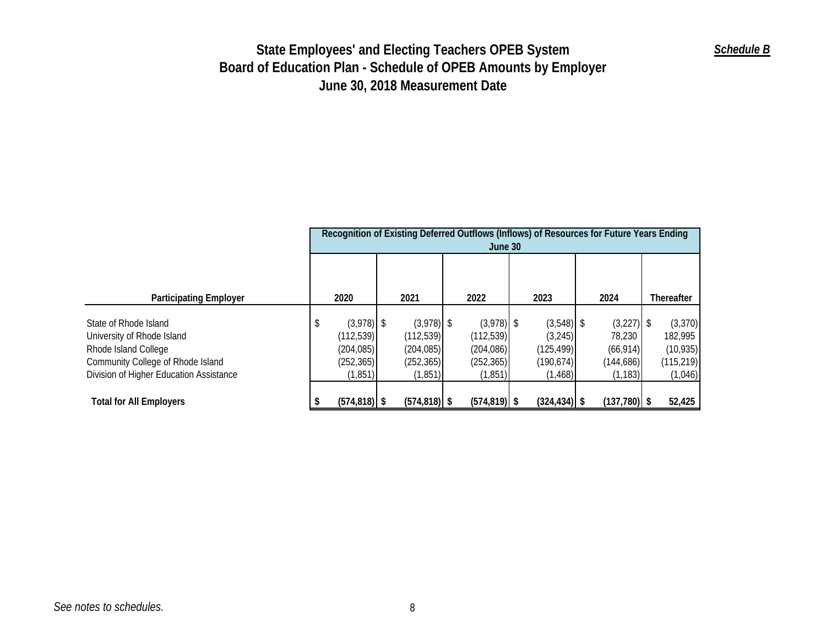|                                         | Recognition of Existing Deferred Outflows (Inflows) of Resources for Future Years Ending<br>June 30 |                 |  |                 |  |                 |  |                 |  |                |  |            |
|-----------------------------------------|-----------------------------------------------------------------------------------------------------|-----------------|--|-----------------|--|-----------------|--|-----------------|--|----------------|--|------------|
|                                         |                                                                                                     |                 |  |                 |  |                 |  |                 |  |                |  |            |
| <b>Participating Employer</b>           |                                                                                                     | 2020            |  | 2021            |  | 2022            |  | 2023            |  | 2024           |  | Thereafter |
|                                         |                                                                                                     |                 |  |                 |  |                 |  |                 |  |                |  |            |
| State of Rhode Island                   | \$                                                                                                  | $(3,978)$ \$    |  | $(3,978)$ \$    |  | $(3,978)$ \$    |  | $(3,548)$ \$    |  | $(3,227)$ \$   |  | (3, 370)   |
| University of Rhode Island              |                                                                                                     | (112, 539)      |  | (112, 539)      |  | (112, 539)      |  | (3, 245)        |  | 78,230         |  | 182,995    |
| Rhode Island College                    |                                                                                                     | (204, 085)      |  | (204, 085)      |  | (204,086)       |  | (125, 499)      |  | (66, 914)      |  | (10, 935)  |
| Community College of Rhode Island       |                                                                                                     | (252, 365)      |  | (252, 365)      |  | (252, 365)      |  | (190, 674)      |  | (144,686)      |  | (115, 219) |
| Division of Higher Education Assistance |                                                                                                     | (1,851)         |  | (1, 851)        |  | (1,851)         |  | (1, 468)        |  | (1, 183)       |  | (1,046)    |
|                                         |                                                                                                     |                 |  |                 |  |                 |  |                 |  |                |  |            |
| <b>Total for All Employers</b>          |                                                                                                     | $(574, 818)$ \$ |  | $(574, 818)$ \$ |  | $(574, 819)$ \$ |  | $(324, 434)$ \$ |  | $(137,780)$ \$ |  | 52,425     |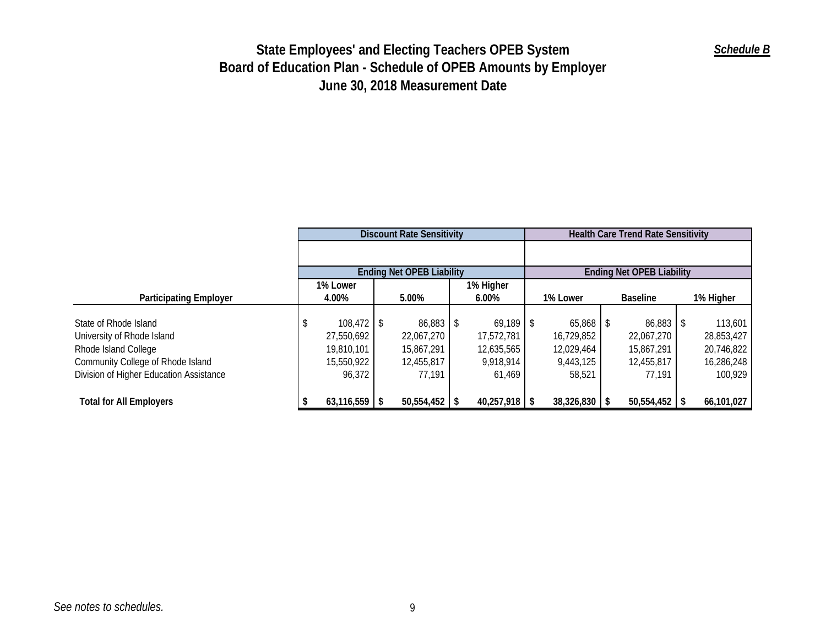|                                         | <b>Discount Rate Sensitivity</b> |                 |  |                                  |  |                 |  | <b>Health Care Trend Rate Sensitivity</b> |  |                                  |  |            |  |  |
|-----------------------------------------|----------------------------------|-----------------|--|----------------------------------|--|-----------------|--|-------------------------------------------|--|----------------------------------|--|------------|--|--|
|                                         |                                  |                 |  |                                  |  |                 |  |                                           |  |                                  |  |            |  |  |
|                                         |                                  |                 |  | <b>Ending Net OPEB Liability</b> |  |                 |  |                                           |  | <b>Ending Net OPEB Liability</b> |  |            |  |  |
|                                         |                                  | 1% Lower        |  |                                  |  | 1% Higher       |  |                                           |  |                                  |  |            |  |  |
| <b>Participating Employer</b>           |                                  | 4.00%           |  | 5.00%                            |  | $6.00\%$        |  | 1% Lower                                  |  | <b>Baseline</b>                  |  | 1% Higher  |  |  |
|                                         |                                  |                 |  |                                  |  |                 |  |                                           |  |                                  |  |            |  |  |
| State of Rhode Island                   | Ъ                                | $108,472$ \$    |  | $86,883$ \$                      |  | $69,189$ \$     |  | $65,868$ \$                               |  | $86,883$ \$                      |  | 113,601    |  |  |
| University of Rhode Island              |                                  | 27,550,692      |  | 22,067,270                       |  | 17,572,781      |  | 16,729,852                                |  | 22,067,270                       |  | 28,853,427 |  |  |
| Rhode Island College                    |                                  | 19,810,101      |  | 15,867,291                       |  | 12,635,565      |  | 12,029,464                                |  | 15,867,291                       |  | 20,746,822 |  |  |
| Community College of Rhode Island       |                                  | 15,550,922      |  | 12,455,817                       |  | 9,918,914       |  | 9,443,125                                 |  | 12,455,817                       |  | 16,286,248 |  |  |
| Division of Higher Education Assistance |                                  | 96,372          |  | 77,191                           |  | 61,469          |  | 58,521                                    |  | 77,191                           |  | 100,929    |  |  |
|                                         |                                  |                 |  |                                  |  |                 |  |                                           |  |                                  |  |            |  |  |
| <b>Total for All Employers</b>          |                                  | $63,116,559$ \$ |  | $50,554,452$ \$                  |  | $40,257,918$ \$ |  | $38,326,830$ \$                           |  | $50,554,452$ \$                  |  | 66,101,027 |  |  |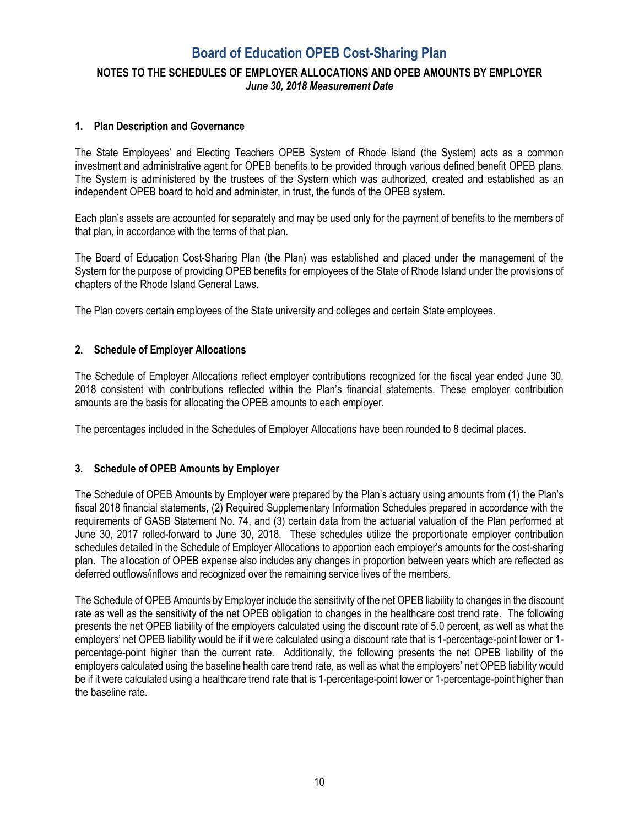# **Board of Education OPEB Cost-Sharing Plan**

## **NOTES TO THE SCHEDULES OF EMPLOYER ALLOCATIONS AND OPEB AMOUNTS BY EMPLOYER**  *June 30, 2018 Measurement Date*

### **1. Plan Description and Governance**

The State Employees' and Electing Teachers OPEB System of Rhode Island (the System) acts as a common investment and administrative agent for OPEB benefits to be provided through various defined benefit OPEB plans. The System is administered by the trustees of the System which was authorized, created and established as an independent OPEB board to hold and administer, in trust, the funds of the OPEB system.

Each plan's assets are accounted for separately and may be used only for the payment of benefits to the members of that plan, in accordance with the terms of that plan.

The Board of Education Cost-Sharing Plan (the Plan) was established and placed under the management of the System for the purpose of providing OPEB benefits for employees of the State of Rhode Island under the provisions of chapters of the Rhode Island General Laws.

The Plan covers certain employees of the State university and colleges and certain State employees.

### **2. Schedule of Employer Allocations**

The Schedule of Employer Allocations reflect employer contributions recognized for the fiscal year ended June 30, 2018 consistent with contributions reflected within the Plan's financial statements. These employer contribution amounts are the basis for allocating the OPEB amounts to each employer.

The percentages included in the Schedules of Employer Allocations have been rounded to 8 decimal places.

### **3. Schedule of OPEB Amounts by Employer**

The Schedule of OPEB Amounts by Employer were prepared by the Plan's actuary using amounts from (1) the Plan's fiscal 2018 financial statements, (2) Required Supplementary Information Schedules prepared in accordance with the requirements of GASB Statement No. 74, and (3) certain data from the actuarial valuation of the Plan performed at June 30, 2017 rolled-forward to June 30, 2018. These schedules utilize the proportionate employer contribution schedules detailed in the Schedule of Employer Allocations to apportion each employer's amounts for the cost-sharing plan. The allocation of OPEB expense also includes any changes in proportion between years which are reflected as deferred outflows/inflows and recognized over the remaining service lives of the members.

The Schedule of OPEB Amounts by Employer include the sensitivity of the net OPEB liability to changes in the discount rate as well as the sensitivity of the net OPEB obligation to changes in the healthcare cost trend rate. The following presents the net OPEB liability of the employers calculated using the discount rate of 5.0 percent, as well as what the employers' net OPEB liability would be if it were calculated using a discount rate that is 1-percentage-point lower or 1 percentage-point higher than the current rate. Additionally, the following presents the net OPEB liability of the employers calculated using the baseline health care trend rate, as well as what the employers' net OPEB liability would be if it were calculated using a healthcare trend rate that is 1-percentage-point lower or 1-percentage-point higher than the baseline rate.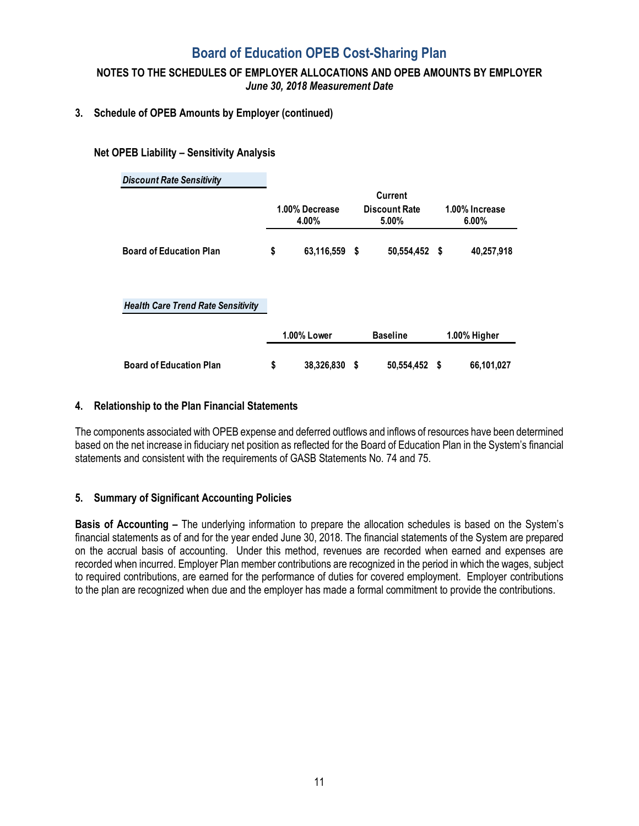# **Board of Education OPEB Cost-Sharing Plan**

## **NOTES TO THE SCHEDULES OF EMPLOYER ALLOCATIONS AND OPEB AMOUNTS BY EMPLOYER**  *June 30, 2018 Measurement Date*

### **3. Schedule of OPEB Amounts by Employer (continued)**

### **Net OPEB Liability – Sensitivity Analysis**

| <b>Discount Rate Sensitivity</b>          |    |                         |      |                                                 |                         |              |  |  |
|-------------------------------------------|----|-------------------------|------|-------------------------------------------------|-------------------------|--------------|--|--|
|                                           |    | 1.00% Decrease<br>4.00% |      | <b>Current</b><br><b>Discount Rate</b><br>5.00% | 1.00% Increase<br>6.00% |              |  |  |
| <b>Board of Education Plan</b>            | \$ | 63,116,559              | - \$ | 50,554,452 \$                                   |                         | 40,257,918   |  |  |
| <b>Health Care Trend Rate Sensitivity</b> |    |                         |      |                                                 |                         |              |  |  |
|                                           |    | 1.00% Lower             |      | <b>Baseline</b>                                 |                         | 1.00% Higher |  |  |
| <b>Board of Education Plan</b>            | \$ | 38,326,830              | S    | 50,554,452 \$                                   |                         | 66,101,027   |  |  |

### **4. Relationship to the Plan Financial Statements**

The components associated with OPEB expense and deferred outflows and inflows of resources have been determined based on the net increase in fiduciary net position as reflected for the Board of Education Plan in the System's financial statements and consistent with the requirements of GASB Statements No. 74 and 75.

### **5. Summary of Significant Accounting Policies**

**Basis of Accounting –** The underlying information to prepare the allocation schedules is based on the System's financial statements as of and for the year ended June 30, 2018. The financial statements of the System are prepared on the accrual basis of accounting. Under this method, revenues are recorded when earned and expenses are recorded when incurred. Employer Plan member contributions are recognized in the period in which the wages, subject to required contributions, are earned for the performance of duties for covered employment. Employer contributions to the plan are recognized when due and the employer has made a formal commitment to provide the contributions.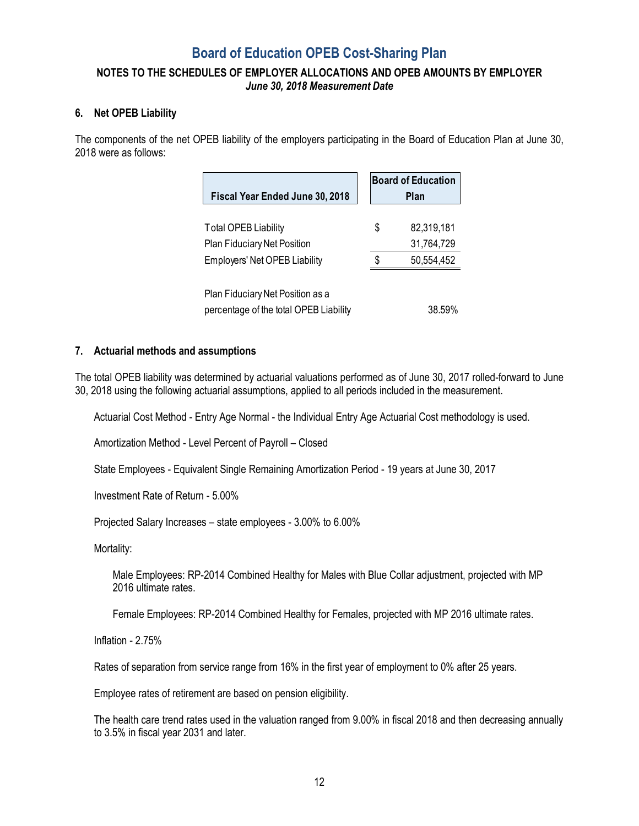# **Board of Education OPEB Cost-Sharing Plan**

## **NOTES TO THE SCHEDULES OF EMPLOYER ALLOCATIONS AND OPEB AMOUNTS BY EMPLOYER**  *June 30, 2018 Measurement Date*

### **6. Net OPEB Liability**

The components of the net OPEB liability of the employers participating in the Board of Education Plan at June 30, 2018 were as follows:

| Fiscal Year Ended June 30, 2018                                                                           | <b>Board of Education</b><br>Plan            |
|-----------------------------------------------------------------------------------------------------------|----------------------------------------------|
| <b>Total OPEB Liability</b><br><b>Plan Fiduciary Net Position</b><br><b>Employers' Net OPEB Liability</b> | \$<br>82,319,181<br>31,764,729<br>50,554,452 |
| Plan Fiduciary Net Position as a<br>percentage of the total OPEB Liability                                | 38.59%                                       |

### **7. Actuarial methods and assumptions**

The total OPEB liability was determined by actuarial valuations performed as of June 30, 2017 rolled-forward to June 30, 2018 using the following actuarial assumptions, applied to all periods included in the measurement.

Actuarial Cost Method - Entry Age Normal - the Individual Entry Age Actuarial Cost methodology is used.

Amortization Method - Level Percent of Payroll – Closed

State Employees - Equivalent Single Remaining Amortization Period - 19 years at June 30, 2017

Investment Rate of Return - 5.00%

Projected Salary Increases – state employees - 3.00% to 6.00%

Mortality:

Male Employees: RP-2014 Combined Healthy for Males with Blue Collar adjustment, projected with MP 2016 ultimate rates.

Female Employees: RP-2014 Combined Healthy for Females, projected with MP 2016 ultimate rates.

Inflation - 2.75%

Rates of separation from service range from 16% in the first year of employment to 0% after 25 years.

Employee rates of retirement are based on pension eligibility.

The health care trend rates used in the valuation ranged from 9.00% in fiscal 2018 and then decreasing annually to 3.5% in fiscal year 2031 and later.